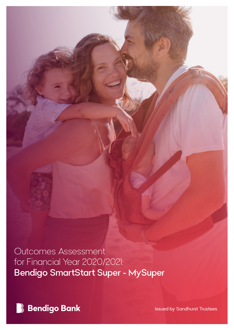Outcomes Assessment for Financial Year 2020/2021: Bendigo SmartStart Super - MySuper

**B** Bendigo Bank

Issued by Sandhurst Trustees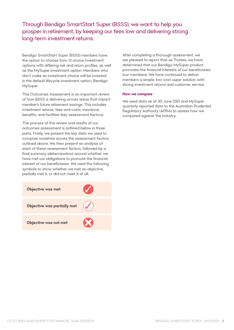Through Bendigo SmartStart Super (BSSS), we want to help you prosper in retirement, by keeping our fees low and delivering strong long-term investment returns.

Bendigo SmartStart Super (BSSS) members have the option to choose from 13 choice investment options with differing risk and return profiles, as well as the MySuper investment option. Members who don't make an investment choice will be invested in the default lifecycle investment option, Bendigo MySuper.

This Outcomes Assessment is an important review of how BSSS is delivering across areas that impact member's future retirement savings. This includes investment returns, fees and costs, insurance, benefits, and facilities (key assessment factors).

The process of this review and results of our outcomes assessment is outlined below in three parts. Firstly, we present the key data we used to compare ourselves across the assessment factors outlined above. We then present an analysis of each of these assessment factors, followed by a final summary (determination) around whether we have met our obligations to promote the financial interest of our beneficiaries. We used the following symbols to show whether we met an objective, partially met it, or did not meet it at all.



After completing a thorough assessment, we are pleased to report that as Trustee, we have determined that our Bendigo MySuper product promotes the financial interests of our beneficiaries (our members). We have continued to deliver members a simple, low-cost super solution with strong investment returns and customer service.

#### **How we compare**

We used data as at 30 June 2021 and MySuper quarterly reported data to the Australian Prudential Regulatory Authority (APRA) to assess how we compared against the industry.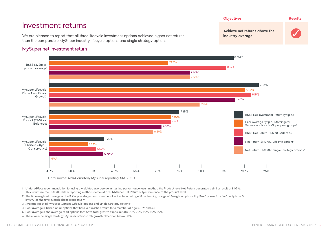



Data source: APRA quarterly MySuper reporting; SRS 702.0

- 1 Under APRA's recommendation for using a weighted average dollar testing performance result method the Product level Net Return generates a similar result of 8.09%. This result, like the SRS 702.0 item reporting method, demonstrates MySuper Net Return outperformance at the product level.
- 2 The timeweighted average of the 3 lifecycle stages for a member's life if entering at age 18 and ending at age 65 (weighting phase 1 by 37/47, phase 2 by 5/47 and phase 3 by 5/47 as the time in each phase respectively)
- 3 Average NR of all MySuper Options (Lifecyle options and Single Strategy options)
- 4 Peer average is based on all options that have a published return for a member at age 54, 59 and 64
- 5 Peer average is the average of all options that have total growth exposure 90%-70%, 70%-50%, 50%-30%
- 6 There were no single strategy MySuper options with growth allocation below 50% Net Return (SRS 702) Single Strategy options5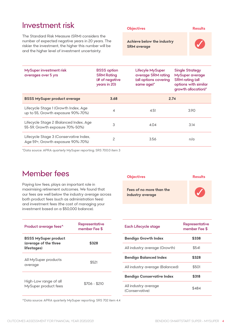| Investment risk                                                                                                                                                                                                  |                                                                           | <b>Objectives</b>                                                                |                                                                                            | <b>Results</b>       |
|------------------------------------------------------------------------------------------------------------------------------------------------------------------------------------------------------------------|---------------------------------------------------------------------------|----------------------------------------------------------------------------------|--------------------------------------------------------------------------------------------|----------------------|
| The Standard Risk Measure (SRM) considers the<br>number of expected negative years in 20 years. The<br>riskier the investment, the higher this number will be<br>and the higher level of investment uncertainty. |                                                                           | Achieve below the industry<br><b>SRM</b> average                                 |                                                                                            |                      |
| MySuper investment risk<br>averages over 5 yrs                                                                                                                                                                   | <b>BSSS</b> option<br><b>SRM Rating</b><br>(# of negative<br>years in 20) | Lifecyle MySuper<br>average SRM rating<br>(all options covering<br>same $age)^*$ | <b>Single Strategy</b><br>MySuper average<br><b>SRM</b> rating (all<br>growth allocation)* | options with similar |
| <b>BSSS MySuper product average</b>                                                                                                                                                                              | 3.68                                                                      |                                                                                  | 2.74                                                                                       |                      |

| Enooyoro otago E (Baranooa maon, 7 igo<br>55-59, Growth exposure 70%-50%)   | 4.04 | 3.14 |
|-----------------------------------------------------------------------------|------|------|
| Lifecycle Stage 3 (Conservative Index,<br>Age 59+, Growth exposure 90%-70%) | 3.56 | n/a  |
|                                                                             |      |      |

Lifecycle Stage Tichowth Index, Age  $4$  4.51 4.51 3.90 approx 4.51 3.90

\*Data source: APRA quarterly MySuper reporting; SRS 700.0 item 3

# Member fees

Lifecycle Stage 1 (Growth Index, Age

Lifecycle Stage 2 (Balanced Index, Age

Paying low fees, plays an important role in maximising retirement outcomes. We found that our fees are well below the industry average across both product fees (such as administration fees) and investment fees (the cost of managing your investment based on a \$50,000 balance).

| Product average fees^                                               | Representative<br>member Fee \$ |  |  |
|---------------------------------------------------------------------|---------------------------------|--|--|
| <b>BSSS MySuper product</b><br>(average of the three<br>lifestages) | \$328                           |  |  |
| All MySuper products<br>average                                     | \$521                           |  |  |
| High-Low range of all<br>MySuper product fees                       | \$706 - \$210                   |  |  |

| <b>Objectives</b>                            | Results |
|----------------------------------------------|---------|
| Fees of no more than the<br>industry average |         |

| Representative<br>member Fee \$ | Each Lifecycle stage                   | Representative<br>member Fee \$ |
|---------------------------------|----------------------------------------|---------------------------------|
| \$328                           | <b>Bendigo Growth Index</b>            | \$338                           |
|                                 | All industry average (Growth)          | \$541                           |
| \$521                           | <b>Bendigo Balanced Index</b>          | \$328                           |
|                                 | All industry average (Balanced)        | \$501                           |
| $$706 - $210$                   | <b>Bendigo Conservative Index</b>      | \$318                           |
|                                 | All industry average<br>(Conservative) | \$484                           |

^Data source: APRA quarterly MySuper reporting: SRS 702 item 4.4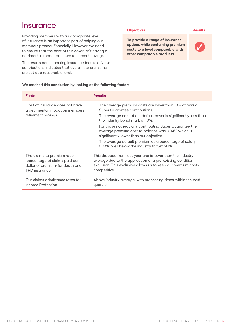# **Insurance**

Providing members with an appropriate level of insurance is an important part of helping our members prosper financially. However, we need to ensure that the cost of this cover isn't having a detrimental impact on future retirement savings.

The results benchmarking insurance fees relative to contributions indicates that overall, the premiums are set at a reasonable level.

#### **Objectives Results**

**To provide a range of insurance options while containing premium costs to a level comparable with other comparable products**



#### **We reached this conclusion by looking at the following factors:**

| Factor                                                                                   | <b>Results</b>                                                                                                                                                                                                                                                                                                                                                                                                                                                                                                         |
|------------------------------------------------------------------------------------------|------------------------------------------------------------------------------------------------------------------------------------------------------------------------------------------------------------------------------------------------------------------------------------------------------------------------------------------------------------------------------------------------------------------------------------------------------------------------------------------------------------------------|
| Cost of insurance does not have<br>a detrimental impact on members<br>retirement savings | The average premium costs are lower than 10% of annual<br>$\bullet$<br>Super Guarantee contributions.<br>The average cost of our default cover is significantly less than<br>$\bullet$<br>the industry benchmark of 10%.<br>For those not regularly contributing Super Guarantee the<br>$\bullet$<br>average premium cost to balance was 0.34% which is<br>significantly lower than our objective.<br>The average default premium as a percentage of salary<br>$\cdot$<br>0.34%, well below the industry target of 1%. |
| The claims to premium ratio                                                              | This dropped from last year and is lower than the industry                                                                                                                                                                                                                                                                                                                                                                                                                                                             |
| (percentage of claims paid per                                                           | average due to the application of a pre-existing condition                                                                                                                                                                                                                                                                                                                                                                                                                                                             |
| dollar of premium) for death and                                                         | exclusion. This exclusion allows us to keep our premium costs                                                                                                                                                                                                                                                                                                                                                                                                                                                          |
| <b>TPD</b> insurance                                                                     | competitive.                                                                                                                                                                                                                                                                                                                                                                                                                                                                                                           |
| Our claims admittance rates for                                                          | Above industry average, with processing times within the best                                                                                                                                                                                                                                                                                                                                                                                                                                                          |
| Income Protection                                                                        | quartile.                                                                                                                                                                                                                                                                                                                                                                                                                                                                                                              |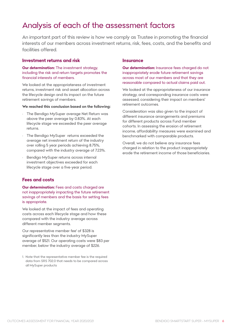# Analysis of each of the assessment factors

An important part of this review is how we comply as Trustee in promoting the financial interests of our members across investment returns, risk, fees, costs, and the benefits and facilities offered.

## **Investment returns and risk**

### **Our determination:** The investment strategy, including the risk and return targets promotes the financial interests of members.

We looked at the appropriateness of investment returns, investment risk and asset allocation across the lifecycle design and its impact on the future retirement savings of members.

#### **We reached this conclusion based on the following:**

- The Bendigo MySuper average Net Return was above the peer average by 0.83%. At each lifecycle stage we exceeded the peer average returns.
- The Bendigo MySuper returns exceeded the average net investment return of the industry over rolling 5 year periods achieving 8.75%, compared with the industry average of 7.23%.
- Bendigo MySuper returns across internal investment objectives exceeded for each lifecycle stage over a five-year period.

## **Fees and costs**

**Our determination:** Fees and costs charged are not inappropriately impacting the future retirement savings of members and the basis for setting fees is appropriate.

We looked at the impact of fees and operating costs across each lifecycle stage and how these compared with the industry average across different member segments.

Our representative member fee<sup>1</sup> of \$328 is significantly less than the industry MySuper average of \$521. Our operating costs were \$83 per member, below the industry average of \$226.

1. Note that the representative member fee is the required data from SRS 702.0 that needs to be compared across all MySuper products

### **Insurance**

**Our determination:** Insurance fees charaed do not inappropriately erode future retirement savings across most of our members and that they are reasonable compared to actual claims paid out.

We looked at the appropriateness of our insurance strategy, and corresponding insurance costs were assessed, considering their impact on members' retirement outcomes.

Consideration was also given to the impact of different insurance arrangements and premiums for different products across Fund member cohorts. In assessing the erosion of retirement income, affordability measures were examined and benchmarked with comparable products.

Overall, we do not believe any insurance fees charged in relation to the product inappropriately erode the retirement income of those beneficiaries.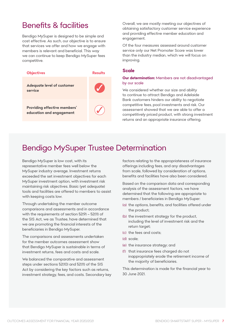# Benefits & facilities

Bendigo MySuper is designed to be simple and cost effective. As such, our objective is to ensure that services we offer and how we engage with members is relevant and beneficial. This way we can continue to keep Bendigo MySuper fees competitive.



Overall, we are mostly meeting our objectives of obtaining satisfactory customer service experience and providing effective member education and engagement.

Of the four measures assessed around customer service only our Net Promoter Score was lower than the industry median, which we will focus on improving.

### **Scale**

### **Our determination:** Members are not disadvantaged by our scale

We considered whether our size and ability to continue to attract Bendigo and Adelaide Bank customers hinders our ability to negotiate competitive fees, pool investments and risk. Our assessment showed that we are able to offer a competitively priced product, with strong investment returns and an appropriate insurance offering.

# Bendigo MySuper Trustee Determination

Bendigo MySuper is low cost, with its representative member fees well below the MySuper industry average. Investment returns exceeded the set investment objectives for each MySuper investment option, with investment risk maintaining risk objectives. Basic (yet adequate) tools and facilities are offered to members to assist with keeping costs low.

Through undertaking the member outcome comparisons and assessments and in accordance with the requirements of section 52(9) – 52(11) of the SIS Act, we as Trustee, have determined that we are promoting the financial interests of the beneficiaries in Bendigo MySuper.

The comparisons and assessments undertaken for the member outcomes assessment show that Bendigo MySuper is sustainable in terms of investment returns, fees and costs and scale.

We balanced the comparative and assessment steps under sections 52(10) and 52(11) of the SIS Act by considering the key factors such as returns, investment strategy, fees, and costs. Secondary key factors relating to the appropriateness of insurance offerings including fees, and any disadvantages from scale, followed by consideration of options, benefits and facilities have also been considered.

Based on the comparison data and corresponding analysis of the assessment factors, we have determined that the following are appropriate to members / beneficiaries in Bendigo MySuper:

- (a) the options, benefits, and facilities offered under the product;
- (b) the investment strategy for the product, including the level of investment risk and the return target;
- (c) the fees and costs;
- (d) scale;
- (e) the insurance strategy; and
- (f) that insurance fees charged do not inappropriately erode the retirement income of the majority of beneficiaries.

This determination is made for the financial year to 30 June 2021.